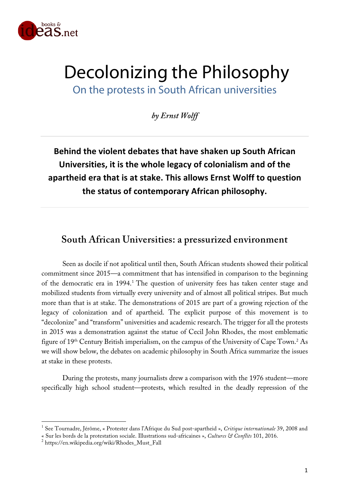

# Decolonizing the Philosophy On the protests in South African universities

*by Ernst Wolff*

**Behind the violent debates that have shaken up South African Universities, it is the whole legacy of colonialism and of the apartheid era that is at stake. This allows Ernst Wolff to question the status of contemporary African philosophy.**

# **South African Universities: a pressurized environment**

Seen as docile if not apolitical until then, South African students showed their political commitment since 2015—a commitment that has intensified in comparison to the beginning of the democratic era in 1994.<sup>1</sup> The question of university fees has taken center stage and mobilized students from virtually every university and of almost all political stripes. But much more than that is at stake. The demonstrations of 2015 are part of a growing rejection of the legacy of colonization and of apartheid. The explicit purpose of this movement is to "decolonize" and "transform" universities and academic research. The trigger for all the protests in 2015 was a demonstration against the statue of Cecil John Rhodes, the most emblematic figure of  $19<sup>th</sup>$  Century British imperialism, on the campus of the University of Cape Town.<sup>2</sup> As we will show below, the debates on academic philosophy in South Africa summarize the issues at stake in these protests.

During the protests, many journalists drew a comparison with the 1976 student—more specifically high school student—protests, which resulted in the deadly repression of the

 <sup>1</sup> See Tournadre, Jérôme, « Protester dans l'Afrique du Sud post-apartheid », *Critique internationale* 39, <sup>2008</sup> and

<sup>«</sup> Sur les bords de la protestation sociale. Illustrations sud-africaines », *Cultures & Conflits* 101, 2016. <sup>2</sup> https://en.wikipedia.org/wiki/Rhodes\_Must\_Fall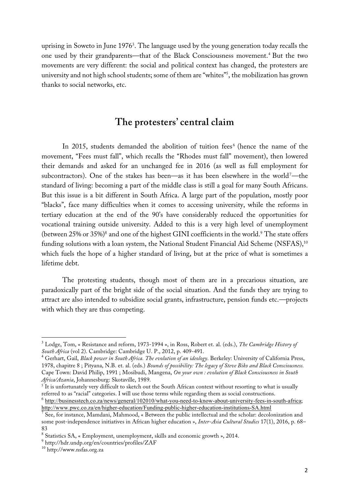uprising in Soweto in June 1976 $^3$ . The language used by the young generation today recalls the one used by their grandparents—that of the Black Consciousness movement.4 But the two movements are very different: the social and political context has changed, the protesters are university and not high school students; some of them are "whites"5 , the mobilization has grown thanks to social networks, etc.

# **The protesters' central claim**

In 2015, students demanded the abolition of tuition fees<sup>6</sup> (hence the name of the movement, "Fees must fall", which recalls the "Rhodes must fall" movement), then lowered their demands and asked for an unchanged fee in 2016 (as well as full employment for subcontractors). One of the stakes has been—as it has been elsewhere in the world<sup>7</sup>—the standard of living: becoming a part of the middle class is still a goal for many South Africans. But this issue is a bit different in South Africa. A large part of the population, mostly poor "blacks", face many difficulties when it comes to accessing university, while the reforms in tertiary education at the end of the 90's have considerably reduced the opportunities for vocational training outside university. Added to this is a very high level of unemployment (between  $25\%$  or  $35\%$ )<sup>8</sup> and one of the highest GINI coefficients in the world.<sup>9</sup> The state offers funding solutions with a loan system, the National Student Financial Aid Scheme (NSFAS),<sup>10</sup> which fuels the hope of a higher standard of living, but at the price of what is sometimes a lifetime debt.

The protesting students, though most of them are in a precarious situation, are paradoxically part of the bright side of the social situation. And the funds they are trying to attract are also intended to subsidize social grants, infrastructure, pension funds etc.—projects with which they are thus competing.

 <sup>3</sup> Lodge, Tom, « Resistance and reform, 1973-1994 », in Ross, Robert et. al. (eds.), *The Cambridge History of* South Africa (vol 2). Cambridge: Cambridge U. P., 2012, p. 409-491.<br><sup>4</sup> Gerhart, Gail, Black power in South Africa. The evolution of an ideology. Berkeley: University of California Press,

<sup>1978,</sup> chapitre 8 ; Pityana, N.B. et. al. (eds.) *Bounds of possibility: The legacy of Steve Biko and Black Consciousness.* Cape Town: David Philip, 1991 ; Mosibudi, Mangena, *On your own : evolution of Black Consciousness in South Africa/Azania*, Johannesburg: Skotaville, 1989.

<sup>&</sup>lt;sup>5</sup> It is unfortunately very difficult to sketch out the South African context without resorting to what is usually referred to as "racial" categories. <sup>I</sup> will use those terms while regarding them as social constructions. <sup>6</sup> http://businesstech.co.za/news/general/102010/what-you-need-to-know-about-university-fees-in-south-africa;

http://www.pwc.co.za/en/higher-education/Funding-public-higher-education-institutions-SA.html

 $\sqrt{7}$  See, for instance, Mamdani, Mahmood, « Between the public intellectual and the scholar: decolonization and some post-independence initiatives in African higher education », *Inter-Asia Cultural Studies* 17(1), 2016, p. 68– 83

 $^8$  Statistics SA, « Employment, unemployment, skills and economic growth », 2014. $^9$  http://hdr.undp.org/en/countries/profiles/ZAF

<sup>10</sup> http://www.nsfas.org.za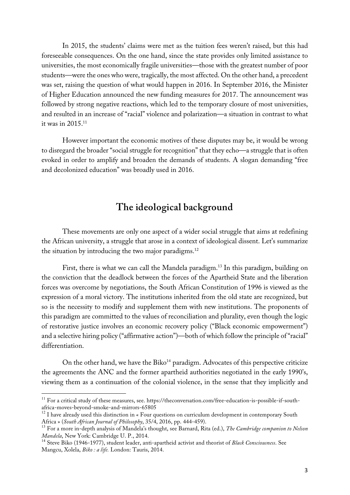In 2015, the students' claims were met as the tuition fees weren't raised, but this had foreseeable consequences. On the one hand, since the state provides only limited assistance to universities, the most economically fragile universities—those with the greatest number of poor students—were the ones who were, tragically, the most affected. On the other hand, a precedent was set, raising the question of what would happen in 2016. In September 2016, the Minister of Higher Education announced the new funding measures for 2017. The announcement was followed by strong negative reactions, which led to the temporary closure of most universities, and resulted in an increase of "racial" violence and polarization—a situation in contrast to what it was in 2015. 11

However important the economic motives of these disputes may be, it would be wrong to disregard the broader "social struggle for recognition" that they echo—a struggle that is often evoked in order to amplify and broaden the demands of students. A slogan demanding "free and decolonized education" was broadly used in 2016.

## **The ideological background**

These movements are only one aspect of a wider social struggle that aims at redefining the African university, a struggle that arose in a context of ideological dissent. Let's summarize the situation by introducing the two major paradigms.<sup>12</sup>

First, there is what we can call the Mandela paradigm.<sup>13</sup> In this paradigm, building on the conviction that the deadlock between the forces of the Apartheid State and the liberation forces was overcome by negotiations, the South African Constitution of 1996 is viewed as the expression of a moral victory. The institutions inherited from the old state are recognized, but so is the necessity to modify and supplement them with new institutions. The proponents of this paradigm are committed to the values of reconciliation and plurality, even though the logic of restorative justice involves an economic recovery policy ("Black economic empowerment") and a selective hiring policy ("affirmative action")—both of which follow the principle of "racial" differentiation.

On the other hand, we have the Biko<sup>14</sup> paradigm. Advocates of this perspective criticize the agreements the ANC and the former apartheid authorities negotiated in the early 1990's, viewing them as a continuation of the colonial violence, in the sense that they implicitly and

<sup>&</sup>lt;sup>11</sup> For a critical study of these measures, see. https://theconversation.com/free-education-is-possible-if-south-

africa-moves-beyond-smoke-and-mirrors-65805<br><sup>12</sup> I have already used this distinction in « Four questions on curriculum development in contemporary South<br>Africa » (*South African Journal of Philosophy*, 35/4, 2016, pp. 44

<sup>&</sup>lt;sup>13</sup> For a more in-depth analysis of Mandela's thought, see Barnard, Rita (ed.), *The Cambridge companion to Nelson*<br>*Mandela*, New York: Cambridge U. P., 2014.

<sup>&</sup>lt;sup>14</sup> Steve Biko (1946-1977), student leader, anti-apartheid activist and theorist of *Black Consciousness*. See Mangcu, Xolela, *Biko : a life.* London: Tauris, 2014.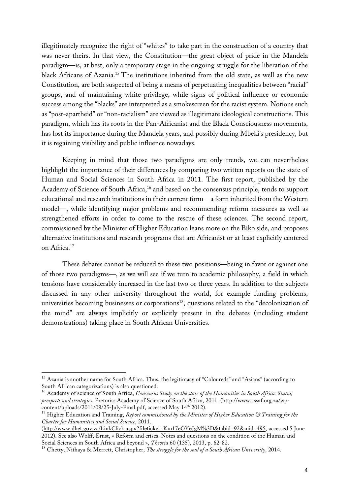illegitimately recognize the right of "whites" to take part in the construction of a country that was never theirs. In that view, the Constitution—the great object of pride in the Mandela paradigm—is, at best, only a temporary stage in the ongoing struggle for the liberation of the black Africans of Azania.15 The institutions inherited from the old state, as well as the new Constitution, are both suspected of being a means of perpetuating inequalities between "racial" groups, and of maintaining white privilege, while signs of political influence or economic success among the "blacks" are interpreted as a smokescreen for the racist system. Notions such as "post-apartheid" or "non-racialism" are viewed as illegitimate ideological constructions. This paradigm, which has its roots in the Pan-Africanist and the Black Consciousness movements, has lost its importance during the Mandela years, and possibly during Mbeki's presidency, but it is regaining visibility and public influence nowadays.

Keeping in mind that those two paradigms are only trends, we can nevertheless highlight the importance of their differences by comparing two written reports on the state of Human and Social Sciences in South Africa in 2011. The first report, published by the Academy of Science of South Africa,<sup>16</sup> and based on the consensus principle, tends to support educational and research institutions in their current form—a form inherited from the Western model—, while identifying major problems and recommending reform measures as well as strengthened efforts in order to come to the rescue of these sciences. The second report, commissioned by the Minister of Higher Education leans more on the Biko side, and proposes alternative institutions and research programs that are Africanist or at least explicitly centered on Africa.17

These debates cannot be reduced to these two positions—being in favor or against one of those two paradigms—, as we will see if we turn to academic philosophy, a field in which tensions have considerably increased in the last two or three years. In addition to the subjects discussed in any other university throughout the world, for example funding problems, universities becoming businesses or corporations<sup>18</sup>, questions related to the "decolonization of the mind" are always implicitly or explicitly present in the debates (including student demonstrations) taking place in South African Universities.

<sup>&</sup>lt;sup>15</sup> Azania is another name for South Africa. Thus, the legitimacy of "Coloureds" and "Asians" (according to South African categorizations) is also questioned.

<sup>&</sup>lt;sup>16</sup> Academy of science of South Africa, Consensus Study on the state of the Humanities in South Africa: Status, *prospects and strategies*. Pretoria: Academy of Science of South Africa, 2011. (http://www.assaf.org.za/wpcontent/uploads/2011/08/25-July-Final.pdf, accessed May 14<sup>th</sup> 2012).<br><sup>17</sup> Higher Education and Training, *Report commissioned by the Minister of Higher Education* & Training for the

*Charter for Humanities and Social Science*, 2011.

<sup>(</sup>http://www.dhet.gov.za/LinkClick.aspx?fileticket=Km17eOYeJgM%3D&tabid=92&mid=495, accessed 5 June 2012). See also Wolff, Ernst, « Reform and crises. Notes and questions on the condition of the Human and Social Sciences in South Africa and beyond », *Theoria* 60 (135), 2013, p. 62-82.

<sup>&</sup>lt;sup>18</sup> Chetty, Nithaya & Merrett, Christopher, *The struggle for the soul of a South African University*, 2014.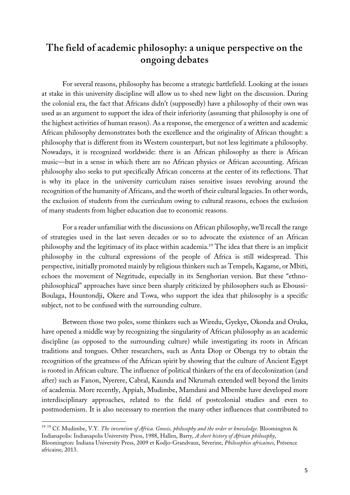# **The field of academic philosophy: a unique perspective on the ongoing debates**

For several reasons, philosophy has become a strategic battlefield. Looking at the issues at stake in this university discipline will allow us to shed new light on the discussion. During the colonial era, the fact that Africans didn't (supposedly) have a philosophy of their own was used as an argument to support the idea of their inferiority (assuming that philosophy is one of the highest activities of human reason). As a response, the emergence of a written and academic African philosophy demonstrates both the excellence and the originality of African thought: a philosophy that is different from its Western counterpart, but not less legitimate a philosophy. Nowadays, it is recognized worldwide: there is an African philosophy as there is African music—but in a sense in which there are no African physics or African accounting. African philosophy also seeks to put specifically African concerns at the center of its reflections. That is why its place in the university curriculum raises sensitive issues revolving around the recognition of the humanity of Africans, and the worth of their cultural legacies. In other words, the exclusion of students from the curriculum owing to cultural reasons, echoes the exclusion of many students from higher education due to economic reasons.

For a reader unfamiliar with the discussions on African philosophy, we'll recall the range of strategies used in the last seven decades or so to advocate the existence of an African philosophy and the legitimacy of its place within academia.19 The idea that there is an implicit philosophy in the cultural expressions of the people of Africa is still widespread. This perspective, initially promoted mainly by religious thinkers such as Tempels, Kagame, or Mbiti, echoes the movement of Negritude, especially in its Senghorian version. But these "ethnophilosophical" approaches have since been sharply criticized by philosophers such as Eboussi-Boulaga, Hountondji, Okere and Towa, who support the idea that philosophy is a specific subject, not to be confused with the surrounding culture.

Between those two poles, some thinkers such as Wiredu, Gyekye, Okonda and Oruka, have opened a middle way by recognizing the singularity of African philosophy as an academic discipline (as opposed to the surrounding culture) while investigating its roots in African traditions and tongues. Other researchers, such as Anta Diop or Obenga try to obtain the recognition of the greatness of the African spirit by showing that the culture of Ancient Egypt is rooted in African culture. The influence of political thinkers of the era of decolonization (and after) such as Fanon, Nyerere, Cabral, Kaunda and Nkrumah extended well beyond the limits of academia. More recently, Appiah, Mudimbe, Mamdani and Mbembe have developed more interdisciplinary approaches, related to the field of postcolonial studies and even to postmodernism. It is also necessary to mention the many other influences that contributed to

 <sup>19</sup> <sup>19</sup> Cf. Mudimbe, V.Y. *The invention of Africa. Gnosis, philosophy and the order or knowledge*. Bloomington & Indianapolis: Indianapolis University Press, 1988, Hallen, Barry, *A short history of African philosophy*, Bloomington: Indiana University Press, 2009 et Kodjo-Grandvaux, Séverine, *Philosophies africaines*, Présence africaine, 2013.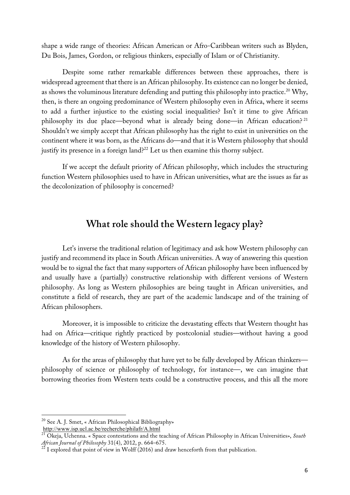shape a wide range of theories: African American or Afro-Caribbean writers such as Blyden, Du Bois, James, Gordon, or religious thinkers, especially of Islam or of Christianity.

Despite some rather remarkable differences between these approaches, there is widespread agreement that there is an African philosophy. Its existence can no longer be denied, as shows the voluminous literature defending and putting this philosophy into practice.<sup>20</sup> Why, then, is there an ongoing predominance of Western philosophy even in Africa, where it seems to add a further injustice to the existing social inequalities? Isn't it time to give African philosophy its due place—beyond what is already being done—in African education? <sup>21</sup> Shouldn't we simply accept that African philosophy has the right to exist in universities on the continent where it was born, as the Africans do—and that it is Western philosophy that should justify its presence in a foreign land?<sup>22</sup> Let us then examine this thorny subject.

If we accept the default priority of African philosophy, which includes the structuring function Western philosophies used to have in African universities, what are the issues as far as the decolonization of philosophy is concerned?

# **What role should the Western legacy play?**

Let's inverse the traditional relation of legitimacy and ask how Western philosophy can justify and recommend its place in South African universities. A way of answering this question would be to signal the fact that many supporters of African philosophy have been influenced by and usually have a (partially) constructive relationship with different versions of Western philosophy. As long as Western philosophies are being taught in African universities, and constitute a field of research, they are part of the academic landscape and of the training of African philosophers.

Moreover, it is impossible to criticize the devastating effects that Western thought has had on Africa—critique rightly practiced by postcolonial studies—without having a good knowledge of the history of Western philosophy.

As for the areas of philosophy that have yet to be fully developed by African thinkers philosophy of science or philosophy of technology, for instance—, we can imagine that borrowing theories from Western texts could be a constructive process, and this all the more

 <sup>20</sup> See A. J. Smet, « African Philosophical Bibliography» http://www.isp.ucl.ac.be/recherche/philafr/A.html

<sup>21</sup> Okeja, Uchenna. « Space contestations and the teaching of African Philosophy in African Universities», *South African Journal of Philosophy* 31(4), 2012, p. 664–675.<br><sup>22</sup> I explored that point of view in Wolff (2016) and draw henceforth from that publication.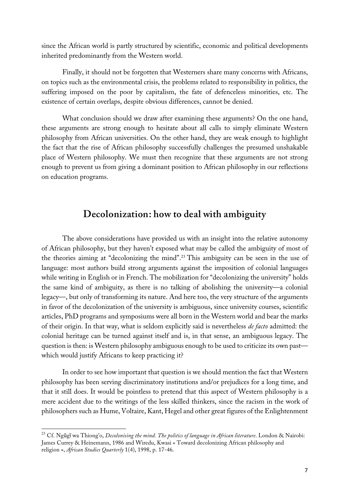since the African world is partly structured by scientific, economic and political developments inherited predominantly from the Western world.

Finally, it should not be forgotten that Westerners share many concerns with Africans, on topics such as the environmental crisis, the problems related to responsibility in politics, the suffering imposed on the poor by capitalism, the fate of defenceless minorities, etc. The existence of certain overlaps, despite obvious differences, cannot be denied.

What conclusion should we draw after examining these arguments? On the one hand, these arguments are strong enough to hesitate about all calls to simply eliminate Western philosophy from African universities. On the other hand, they are weak enough to highlight the fact that the rise of African philosophy successfully challenges the presumed unshakable place of Western philosophy. We must then recognize that these arguments are not strong enough to prevent us from giving a dominant position to African philosophy in our reflections on education programs.

### **Decolonization: how to deal with ambiguity**

The above considerations have provided us with an insight into the relative autonomy of African philosophy, but they haven't exposed what may be called the ambiguity of most of the theories aiming at "decolonizing the mind".23 This ambiguity can be seen in the use of language: most authors build strong arguments against the imposition of colonial languages while writing in English or in French. The mobilization for "decolonizing the university" holds the same kind of ambiguity, as there is no talking of abolishing the university—a colonial legacy—, but only of transforming its nature. And here too, the very structure of the arguments in favor of the decolonization of the university is ambiguous, since university courses, scientific articles, PhD programs and symposiums were all born in the Western world and bear the marks of their origin. In that way, what is seldom explicitly said is nevertheless *de facto* admitted: the colonial heritage can be turned against itself and is, in that sense, an ambiguous legacy. The question is then: is Western philosophy ambiguous enough to be used to criticize its own past which would justify Africans to keep practicing it?

In order to see how important that question is we should mention the fact that Western philosophy has been serving discriminatory institutions and/or prejudices for a long time, and that it still does. It would be pointless to pretend that this aspect of Western philosophy is a mere accident due to the writings of the less skilled thinkers, since the racism in the work of philosophers such as Hume, Voltaire, Kant, Hegel and other great figures of the Enlightenment

 <sup>23</sup> Cf. Ngũg<sup>ĩ</sup> wa Thiong'o, *Decolonising the mind. The politics of language in African literature*. London & Nairobi: James Currey & Heinemann, 1986 and Wiredu, Kwasi « Toward decolonizing African philosophy and religion », *African Studies Quarterly* 1(4), 1998, p. 17-46.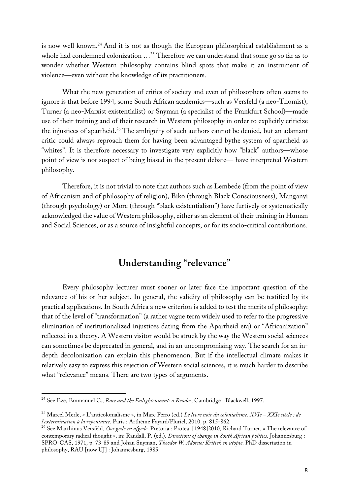is now well known.24 And it is not as though the European philosophical establishment as a whole had condemned colonization …25 Therefore we can understand that some go so far as to wonder whether Western philosophy contains blind spots that make it an instrument of violence—even without the knowledge of its practitioners.

What the new generation of critics of society and even of philosophers often seems to ignore is that before 1994, some South African academics—such as Versfeld (a neo-Thomist), Turner (a neo-Marxist existentialist) or Snyman (a specialist of the Frankfurt School)—made use of their training and of their research in Western philosophy in order to explicitly criticize the injustices of apartheid.26 The ambiguity of such authors cannot be denied, but an adamant critic could always reproach them for having been advantaged bythe system of apartheid as "whites". It is therefore necessary to investigate very explicitly how "black" authors—whose point of view is not suspect of being biased in the present debate— have interpreted Western philosophy.

Therefore, it is not trivial to note that authors such as Lembede (from the point of view of Africanism and of philosophy of religion), Biko (through Black Consciousness), Manganyi (through psychology) or More (through "black existentialism") have furtively or systematically acknowledged the value of Western philosophy, either as an element of their training in Human and Social Sciences, or as a source of insightful concepts, or for its socio-critical contributions.

# **Understanding "relevance"**

Every philosophy lecturer must sooner or later face the important question of the relevance of his or her subject. In general, the validity of philosophy can be testified by its practical applications. In South Africa a new criterion is added to test the merits of philosophy: that of the level of "transformation" (a rather vague term widely used to refer to the progressive elimination of institutionalized injustices dating from the Apartheid era) or "Africanization" reflected in a theory. A Western visitor would be struck by the way the Western social sciences can sometimes be deprecated in general, and in an uncompromising way. The search for an indepth decolonization can explain this phenomenon. But if the intellectual climate makes it relatively easy to express this rejection of Western social sciences, it is much harder to describe what "relevance" means. There are two types of arguments.

 <sup>24</sup> See Eze, Emmanuel C., *Race and the Enlightenment: <sup>a</sup> Reader*, Cambridge : Blackwell, 1997.

<sup>25</sup> Marcel Merle, « L'anticolonialisme », in Marc Ferro (ed.) *Le livre noir du colonialisme. XVIe – XXIe siècle : de*

<sup>&</sup>lt;sup>26</sup> See Marthinus Versfeld, Oor gode en afgode. Pretoria : Protea, [1948]2010, Richard Turner, « The relevance of contemporary radical thought », in: Randall, P. (ed.). *Directions of change in South African politics*. Johannesburg : SPRO-CAS, 1971, p. 73-85 and Johan Snyman, *Theodor W. Adorno: Kritiek en utopie*. PhD dissertation in philosophy, RAU [now UJ] : Johannesburg, 1985.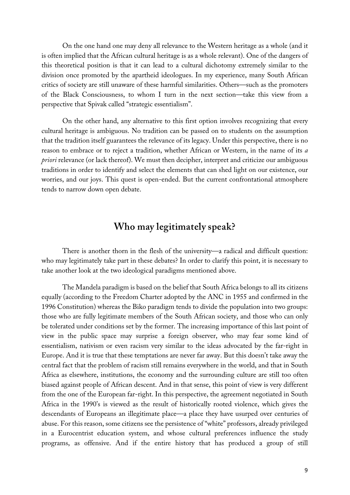On the one hand one may deny all relevance to the Western heritage as a whole (and it is often implied that the African cultural heritage is as a whole relevant). One of the dangers of this theoretical position is that it can lead to a cultural dichotomy extremely similar to the division once promoted by the apartheid ideologues. In my experience, many South African critics of society are still unaware of these harmful similarities. Others—such as the promoters of the Black Consciousness, to whom I turn in the next section—take this view from a perspective that Spivak called "strategic essentialism".

On the other hand, any alternative to this first option involves recognizing that every cultural heritage is ambiguous. No tradition can be passed on to students on the assumption that the tradition itself guarantees the relevance of its legacy. Under this perspective, there is no reason to embrace or to reject a tradition, whether African or Western, in the name of its *a priori* relevance (or lack thereof). We must then decipher, interpret and criticize our ambiguous traditions in order to identify and select the elements that can shed light on our existence, our worries, and our joys. This quest is open-ended. But the current confrontational atmosphere tends to narrow down open debate.

## **Who may legitimately speak?**

There is another thorn in the flesh of the university—a radical and difficult question: who may legitimately take part in these debates? In order to clarify this point, it is necessary to take another look at the two ideological paradigms mentioned above.

The Mandela paradigm is based on the belief that South Africa belongs to all its citizens equally (according to the Freedom Charter adopted by the ANC in 1955 and confirmed in the 1996 Constitution) whereas the Biko paradigm tends to divide the population into two groups: those who are fully legitimate members of the South African society, and those who can only be tolerated under conditions set by the former. The increasing importance of this last point of view in the public space may surprise a foreign observer, who may fear some kind of essentialism, nativism or even racism very similar to the ideas advocated by the far-right in Europe. And it is true that these temptations are never far away. But this doesn't take away the central fact that the problem of racism still remains everywhere in the world, and that in South Africa as elsewhere, institutions, the economy and the surrounding culture are still too often biased against people of African descent. And in that sense, this point of view is very different from the one of the European far-right. In this perspective, the agreement negotiated in South Africa in the 1990's is viewed as the result of historically rooted violence, which gives the descendants of Europeans an illegitimate place—a place they have usurped over centuries of abuse. For this reason, some citizens see the persistence of "white" professors, already privileged in a Eurocentrist education system, and whose cultural preferences influence the study programs, as offensive. And if the entire history that has produced a group of still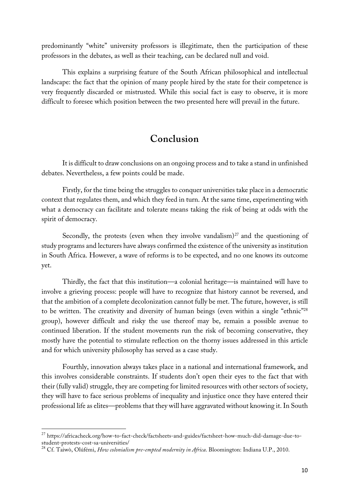predominantly "white" university professors is illegitimate, then the participation of these professors in the debates, as well as their teaching, can be declared null and void.

This explains a surprising feature of the South African philosophical and intellectual landscape: the fact that the opinion of many people hired by the state for their competence is very frequently discarded or mistrusted. While this social fact is easy to observe, it is more difficult to foresee which position between the two presented here will prevail in the future.

# **Conclusion**

It is difficult to draw conclusions on an ongoing process and to take a stand in unfinished debates. Nevertheless, a few points could be made.

Firstly, for the time being the struggles to conquer universities take place in a democratic context that regulates them, and which they feed in turn. At the same time, experimenting with what a democracy can facilitate and tolerate means taking the risk of being at odds with the spirit of democracy.

Secondly, the protests (even when they involve vandalism) $^{27}$  and the questioning of study programs and lecturers have always confirmed the existence of the university as institution in South Africa. However, a wave of reforms is to be expected, and no one knows its outcome yet.

Thirdly, the fact that this institution—a colonial heritage—is maintained will have to involve a grieving process: people will have to recognize that history cannot be reversed, and that the ambition of a complete decolonization cannot fully be met. The future, however, is still to be written. The creativity and diversity of human beings (even within a single "ethnic"28 group), however difficult and risky the use thereof may be, remain a possible avenue to continued liberation. If the student movements run the risk of becoming conservative, they mostly have the potential to stimulate reflection on the thorny issues addressed in this article and for which university philosophy has served as a case study.

Fourthly, innovation always takes place in a national and international framework, and this involves considerable constraints. If students don't open their eyes to the fact that with their (fully valid) struggle, they are competing for limited resources with other sectors of society, they will have to face serious problems of inequality and injustice once they have entered their professional life as elites—problems that they will have aggravated without knowing it. In South

 $^{27}$  https://africacheck.org/how-to-fact-check/factsheets-and-guides/factsheet-how-much-did-damage-due-to-student-protests-cost-sa-universities/

<sup>&</sup>lt;sup>28</sup> Cf. Taiwò, Olúfémi, *How colonialism pre-empted modernity in Africa*. Bloomington: Indiana U.P., 2010.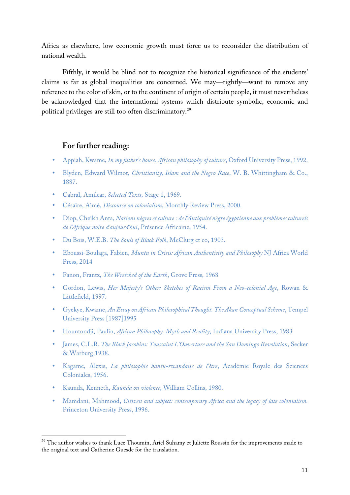Africa as elsewhere, low economic growth must force us to reconsider the distribution of national wealth.

Fifthly, it would be blind not to recognize the historical significance of the students' claims as far as global inequalities are concerned. We may—rightly—want to remove any reference to the color of skin, or to the continent of origin of certain people, it must nevertheless be acknowledged that the international systems which distribute symbolic, economic and political privileges are still too often discriminatory.29

#### **For further reading:**

- Appiah, Kwame, *In my father's house. African philosophy of culture*, Oxford University Press, 1992.
- Blyden, Edward Wilmot, *Christianity, Islam and the Negro Race*, W. B. Whittingham & Co., 1887.
- Cabral, Amílcar, *Selected Texts*, Stage 1, 1969.
- Césaire, Aimé, *Discourse on colonialism*, Monthly Review Press, 2000.
- Diop, Cheikh Anta, *Nations nègres et culture : de l'Antiquité nègre égyptienne aux problèmes culturels de l'Afrique noire d'aujourd'hui*, Présence Africaine, 1954.
- Du Bois, W.E.B. *The Souls of Black Folk*, McClurg et co, 1903.
- Eboussi-Boulaga, Fabien, *Muntu in Crisis: African Authenticity and Philosophy* NJ Africa World Press, 2014
- Fanon, Frantz, *The Wretched of the Earth*, Grove Press, 1968
- Gordon, Lewis, *Her Majesty's Other: Sketches of Racism From a Neo-colonial Age*, Rowan & Littlefield, 1997.
- Gyekye, Kwame, *An Essay on African Philosophical Thought. The Akan Conceptual Scheme*, Tempel University Press [1987]1995
- Hountondji, Paulin, *African Philosophy: Myth and Reality*, Indiana University Press, 1983
- James, C.L.R. *The Black Jacobins: Toussaint L'Ouverture and the San Domingo Revolution*, Secker & Warburg,1938.
- Kagame, Alexis, *La philosophie bantu-rwandaise de l'être*, Académie Royale des Sciences Coloniales, 1956.
- Kaunda, Kenneth, *Kaunda on violence*, William Collins, 1980.
- Mamdani, Mahmood, *Citizen and subject: contemporary Africa and the legacy of late colonialism.* Princeton University Press, 1996.

<sup>&</sup>lt;sup>29</sup> The author wishes to thank Luce Thoumin, Ariel Suhamy et Juliette Roussin for the improvements made to the original text and Catherine Guesde for the translation.